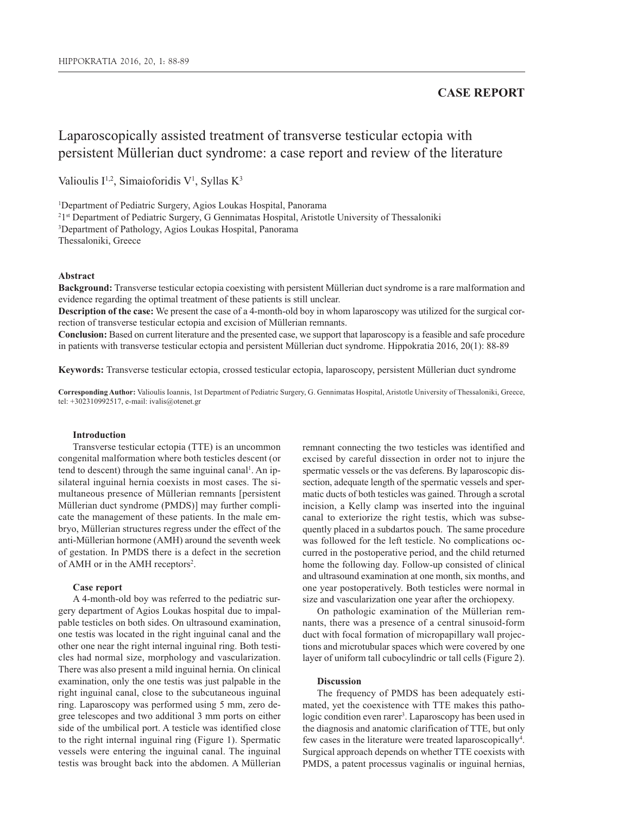# **CASE REPORT**

# Laparoscopically assisted treatment of transverse testicular ectopia with persistent Müllerian duct syndrome: a case report and review of the literature

Valioulis  $I^{1,2}$ , Simaioforidis V<sup>1</sup>, Syllas K<sup>3</sup>

1 Department of Pediatric Surgery, Agios Loukas Hospital, Panorama

2 1st Department of Pediatric Surgery, G Gennimatas Hospital, Aristotle University of Thessaloniki

3 Department of Pathology, Agios Loukas Hospital, Panorama

Thessaloniki, Greece

# **Abstract**

**Background:** Transverse testicular ectopia coexisting with persistent Müllerian duct syndrome is a rare malformation and evidence regarding the optimal treatment of these patients is still unclear.

**Description of the case:** We present the case of a 4-month-old boy in whom laparoscopy was utilized for the surgical correction of transverse testicular ectopia and excision of Müllerian remnants.

**Conclusion:** Based on current literature and the presented case, we support that laparoscopy is a feasible and safe procedure in patients with transverse testicular ectopia and persistent Müllerian duct syndrome. Hippokratia 2016, 20(1): 88-89

**Keywords:** Transverse testicular ectopia, crossed testicular ectopia, laparoscopy, persistent Müllerian duct syndrome

**Corresponding Author:** Valioulis Ioannis, 1st Department of Pediatric Surgery, G. Gennimatas Hospital, Aristotle University of Thessaloniki, Greece, tel: +302310992517, e-mail: ivalis@otenet.gr

#### **Introduction**

Transverse testicular ectopia (TTE) is an uncommon congenital malformation where both testicles descent (or tend to descent) through the same inguinal canal<sup>1</sup>. An ipsilateral inguinal hernia coexists in most cases. The simultaneous presence of Müllerian remnants [persistent Müllerian duct syndrome (PMDS)] may further complicate the management of these patients. In the male embryo, Müllerian structures regress under the effect of the anti-Müllerian hormone (AMH) around the seventh week of gestation. In PMDS there is a defect in the secretion of AMH or in the AMH receptors<sup>2</sup>.

#### **Case report**

A 4-month-old boy was referred to the pediatric surgery department of Agios Loukas hospital due to impalpable testicles on both sides. On ultrasound examination, one testis was located in the right inguinal canal and the other one near the right internal inguinal ring. Both testicles had normal size, morphology and vascularization. There was also present a mild inguinal hernia. On clinical examination, only the one testis was just palpable in the right inguinal canal, close to the subcutaneous inguinal ring. Laparoscopy was performed using 5 mm, zero degree telescopes and two additional 3 mm ports on either side of the umbilical port. A testicle was identified close to the right internal inguinal ring (Figure 1). Spermatic vessels were entering the inguinal canal. The inguinal testis was brought back into the abdomen. A Müllerian

remnant connecting the two testicles was identified and excised by careful dissection in order not to injure the spermatic vessels or the vas deferens. By laparoscopic dissection, adequate length of the spermatic vessels and spermatic ducts of both testicles was gained. Through a scrotal incision, a Kelly clamp was inserted into the inguinal canal to exteriorize the right testis, which was subsequently placed in a subdartos pouch. The same procedure was followed for the left testicle. No complications occurred in the postoperative period, and the child returned home the following day. Follow-up consisted of clinical and ultrasound examination at one month, six months, and one year postoperatively. Both testicles were normal in size and vascularization one year after the orchiopexy.

On pathologic examination of the Müllerian remnants, there was a presence of a central sinusoid-form duct with focal formation of micropapillary wall projections and microtubular spaces which were covered by one layer of uniform tall cubocylindric or tall cells (Figure 2).

# **Discussion**

The frequency of PMDS has been adequately estimated, yet the coexistence with TTE makes this pathologic condition even rarer<sup>3</sup>. Laparoscopy has been used in the diagnosis and anatomic clarification of TTE, but only few cases in the literature were treated laparoscopically<sup>4</sup>. Surgical approach depends on whether TTE coexists with PMDS, a patent processus vaginalis or inguinal hernias,